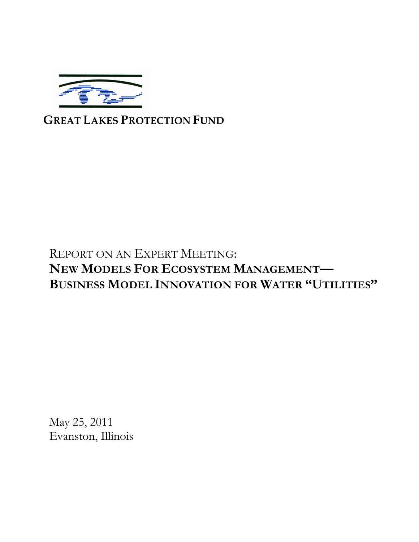

# **GREAT LAKES PROTECTION FUND**

# REPORT ON AN EXPERT MEETING: **NEW MODELS FOR ECOSYSTEM MANAGEMENT— BUSINESS MODEL INNOVATION FOR WATER "UTILITIES"**

May 25, 2011 Evanston, Illinois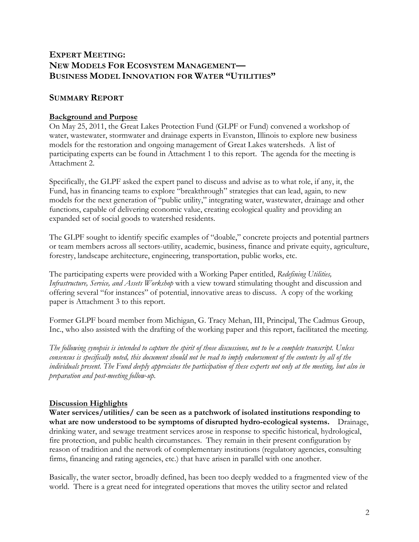# **EXPERT MEETING: NEW MODELS FOR ECOSYSTEM MANAGEMENT— BUSINESS MODEL INNOVATION FOR WATER "UTILITIES"**

# **SUMMARY REPORT**

## **Background and Purpose**

On May 25, 2011, the Great Lakes Protection Fund (GLPF or Fund) convened a workshop of water, wastewater, stormwater and drainage experts in Evanston, Illinois to explore new business models for the restoration and ongoing management of Great Lakes watersheds. A list of participating experts can be found in Attachment 1 to this report. The agenda for the meeting is Attachment 2.

Specifically, the GLPF asked the expert panel to discuss and advise as to what role, if any, it, the Fund, has in financing teams to explore "breakthrough" strategies that can lead, again, to new models for the next generation of "public utility," integrating water, wastewater, drainage and other functions, capable of delivering economic value, creating ecological quality and providing an expanded set of social goods to watershed residents.

The GLPF sought to identify specific examples of "doable," concrete projects and potential partners or team members across all sectors-utility, academic, business, finance and private equity, agriculture, forestry, landscape architecture, engineering, transportation, public works, etc.

The participating experts were provided with a Working Paper entitled, *Redefining Utilities, Infrastructure, Service, and Assets Workshop* with a view toward stimulating thought and discussion and offering several "for instances" of potential, innovative areas to discuss. A copy of the working paper is Attachment 3 to this report.

Former GLPF board member from Michigan, G. Tracy Mehan, III, Principal, The Cadmus Group, Inc., who also assisted with the drafting of the working paper and this report, facilitated the meeting.

*The following synopsis is intended to capture the spirit of those discussions, not to be a complete transcript. Unless consensus is specifically noted, this document should not be read to imply endorsement of the contents by all of the individuals present. The Fund deeply appreciates the participation of these experts not only at the meeting, but also in preparation and post-meeting follow-up.*

#### **Discussion Highlights**

**Water services/utilities/ can be seen as a patchwork of isolated institutions responding to what are now understood to be symptoms of disrupted hydro-ecological systems.** Drainage, drinking water, and sewage treatment services arose in response to specific historical, hydrological, fire protection, and public health circumstances. They remain in their present configuration by reason of tradition and the network of complementary institutions (regulatory agencies, consulting firms, financing and rating agencies, etc.) that have arisen in parallel with one another.

Basically, the water sector, broadly defined, has been too deeply wedded to a fragmented view of the world. There is a great need for integrated operations that moves the utility sector and related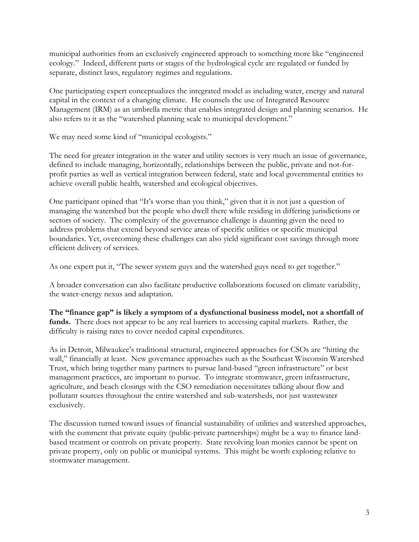municipal authorities from an exclusively engineered approach to something more like "engineered ecology." Indeed, different parts or stages of the hydrological cycle are regulated or funded by separate, distinct laws, regulatory regimes and regulations.

One participating expert conceptualizes the integrated model as including water, energy and natural capital in the context of a changing climate. He counsels the use of Integrated Resource Management (IRM) as an umbrella metric that enables integrated design and planning scenarios. He also refers to it as the "watershed planning scale to municipal development."

We may need some kind of "municipal ecologists."

The need for greater integration in the water and utility sectors is very much an issue of governance, defined to include managing, horizontally, relationships between the public, private and not-forprofit parties as well as vertical integration between federal, state and local governmental entities to achieve overall public health, watershed and ecological objectives.

One participant opined that "It's worse than you think," given that it is not just a question of managing the watershed but the people who dwell there while residing in differing jurisdictions or sectors of society. The complexity of the governance challenge is daunting given the need to address problems that extend beyond service areas of specific utilities or specific municipal boundaries. Yet, overcoming these challenges can also yield significant cost savings through more efficient delivery of services.

As one expert put it, "The sewer system guys and the watershed guys need to get together."

A broader conversation can also facilitate productive collaborations focused on climate variability, the water-energy nexus and adaptation.

**The "finance gap" is likely a symptom of a dysfunctional business model, not a shortfall of funds.** There does not appear to be any real barriers to accessing capital markets. Rather, the difficulty is raising rates to cover needed capital expenditures.

As in Detroit, Milwaukee's traditional structural, engineered approaches for CSOs are "hitting the wall," financially at least. New governance approaches such as the Southeast Wisconsin Watershed Trust, which bring together many partners to pursue land-based "green infrastructure" or best management practices, are important to pursue. To integrate stormwater, green infrastructure, agriculture, and beach closings with the CSO remediation necessitates talking about flow and pollutant sources throughout the entire watershed and sub-watersheds, not just wastewater exclusively.

The discussion turned toward issues of financial sustainability of utilities and watershed approaches, with the comment that private equity (public-private partnerships) might be a way to finance landbased treatment or controls on private property. State revolving loan monies cannot be spent on private property, only on public or municipal systems. This might be worth exploring relative to stormwater management.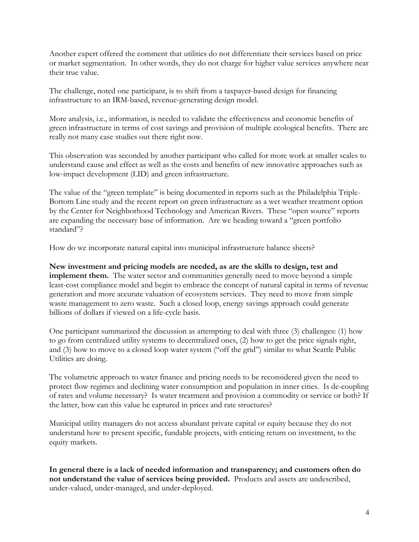Another expert offered the comment that utilities do not differentiate their services based on price or market segmentation. In other words, they do not charge for higher value services anywhere near their true value.

The challenge, noted one participant, is to shift from a taxpayer-based design for financing infrastructure to an IRM-based, revenue-generating design model.

More analysis, i.e., information, is needed to validate the effectiveness and economic benefits of green infrastructure in terms of cost savings and provision of multiple ecological benefits. There are really not many case studies out there right now.

This observation was seconded by another participant who called for more work at smaller scales to understand cause and effect as well as the costs and benefits of new innovative approaches such as low-impact development (LID) and green infrastructure.

The value of the "green template" is being documented in reports such as the Philadelphia Triple-Bottom Line study and the recent report on green infrastructure as a wet weather treatment option by the Center for Neighborhood Technology and American Rivers. These "open source" reports are expanding the necessary base of information. Are we heading toward a "green portfolio standard"?

How do we incorporate natural capital into municipal infrastructure balance sheets?

**New investment and pricing models are needed, as are the skills to design, test and implement them.** The water sector and communities generally need to move beyond a simple least-cost compliance model and begin to embrace the concept of natural capital in terms of revenue generation and more accurate valuation of ecosystem services. They need to move from simple waste management to zero waste. Such a closed loop, energy savings approach could generate billions of dollars if viewed on a life-cycle basis.

One participant summarized the discussion as attempting to deal with three (3) challenges: (1) how to go from centralized utility systems to decentralized ones, (2) how to get the price signals right, and (3) how to move to a closed loop water system ("off the grid") similar to what Seattle Public Utilities are doing.

The volumetric approach to water finance and pricing needs to be reconsidered given the need to protect flow regimes and declining water consumption and population in inner cities. Is de-coupling of rates and volume necessary? Is water treatment and provision a commodity or service or both? If the latter, how can this value be captured in prices and rate structures?

Municipal utility managers do not access abundant private capital or equity because they do not understand how to present specific, fundable projects, with enticing return on investment, to the equity markets.

**In general there is a lack of needed information and transparency; and customers often do not understand the value of services being provided.** Products and assets are undescribed, under-valued, under-managed, and under-deployed.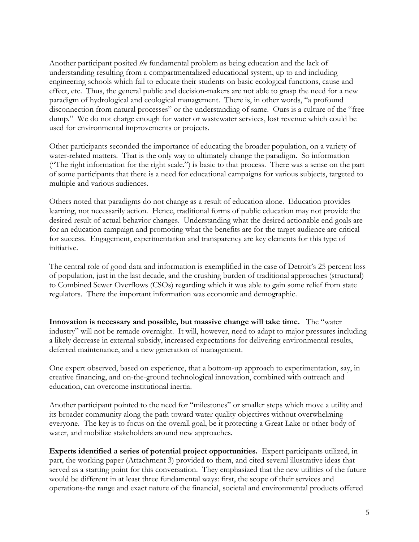Another participant posited *the* fundamental problem as being education and the lack of understanding resulting from a compartmentalized educational system, up to and including engineering schools which fail to educate their students on basic ecological functions, cause and effect, etc. Thus, the general public and decision-makers are not able to grasp the need for a new paradigm of hydrological and ecological management. There is, in other words, "a profound disconnection from natural processes" or the understanding of same. Ours is a culture of the "free dump." We do not charge enough for water or wastewater services, lost revenue which could be used for environmental improvements or projects.

Other participants seconded the importance of educating the broader population, on a variety of water-related matters. That is the only way to ultimately change the paradigm. So information ("The right information for the right scale.") is basic to that process. There was a sense on the part of some participants that there is a need for educational campaigns for various subjects, targeted to multiple and various audiences.

Others noted that paradigms do not change as a result of education alone. Education provides learning, not necessarily action. Hence, traditional forms of public education may not provide the desired result of actual behavior changes. Understanding what the desired actionable end goals are for an education campaign and promoting what the benefits are for the target audience are critical for success. Engagement, experimentation and transparency are key elements for this type of initiative.

The central role of good data and information is exemplified in the case of Detroit's 25 percent loss of population, just in the last decade, and the crushing burden of traditional approaches (structural) to Combined Sewer Overflows (CSOs) regarding which it was able to gain some relief from state regulators. There the important information was economic and demographic.

**Innovation is necessary and possible, but massive change will take time.** The "water industry" will not be remade overnight. It will, however, need to adapt to major pressures including a likely decrease in external subsidy, increased expectations for delivering environmental results, deferred maintenance, and a new generation of management.

One expert observed, based on experience, that a bottom-up approach to experimentation, say, in creative financing, and on-the-ground technological innovation, combined with outreach and education, can overcome institutional inertia.

Another participant pointed to the need for "milestones" or smaller steps which move a utility and its broader community along the path toward water quality objectives without overwhelming everyone. The key is to focus on the overall goal, be it protecting a Great Lake or other body of water, and mobilize stakeholders around new approaches.

**Experts identified a series of potential project opportunities.** Expert participants utilized, in part, the working paper (Attachment 3) provided to them, and cited several illustrative ideas that served as a starting point for this conversation. They emphasized that the new utilities of the future would be different in at least three fundamental ways: first, the scope of their services and operations-the range and exact nature of the financial, societal and environmental products offered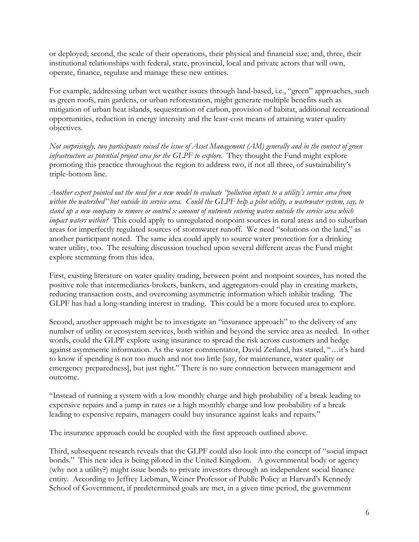or deployed; second, the scale of their operations, their physical and financial size; and, three, their institutional relationships with federal, state, provincial, local and private actors that will own, operate, finance, regulate and manage these new entities.

For example, addressing urban wet weather issues through land-based, i.e., "green" approaches, such as green roofs, rain gardens, or urban reforestation, might generate multiple benefits such as mitigation of urban heat islands, sequestration of carbon, provision of habitat, additional recreational opportunities, reduction in energy intensity and the least-cost means of attaining water quality objectives.

*Not surprisingly, two participants raised the issue of Asset Management (AM) generally and in the context of green infrastructure as potential project area for the GLPF to explore.* They thought the Fund might explore promoting this practice throughout the region to address two, if not all three, of sustainability's triple-bottom line.

*Another expert pointed out the need for a new model to evaluate "pollution inputs to a utility's service area from within the watershed" but outside its service area. Could the GLPF help a pilot utility, a wastewater system, say, to stand up a new company to remove or control x amount of nutrients entering waters outside the service area which impact waters within?* This could apply to unregulated nonpoint sources in rural areas and to suburban areas for imperfectly regulated sources of stormwater runoff. We need "solutions on the land," as another participant noted. The same idea could apply to source water protection for a drinking water utility, too. The resulting discussion touched upon several different areas the Fund might explore stemming from this idea.

First, existing literature on water quality trading, between point and nonpoint sources, has noted the positive role that intermediaries-brokers, bankers, and aggregators-could play in creating markets, reducing transaction costs, and overcoming asymmetric information which inhibit trading. The GLPF has had a long-standing interest in trading. This could be a more focused area to explore.

Second, another approach might be to investigate an "insurance approach" to the delivery of any number of utility or ecosystem services, both within and beyond the service area as needed. In other words, could the GLPF explore using insurance to spread the risk across customers and hedge against asymmetric information. As the water commentator, David Zetland, has stated, "…it's hard to know if spending is not too much and not too little [say, for maintenance, water quality or emergency preparedness], but just right." There is no sure connection between management and outcome.

"Instead of running a system with a low monthly charge and high probability of a break leading to expensive repairs and a jump in rates or a high monthly charge and low probability of a break leading to expensive repairs, managers could buy insurance against leaks and repairs."

The insurance approach could be coupled with the first approach outlined above.

Third, subsequent research reveals that the GLPF could also look into the concept of "social impact bonds." This new idea is being piloted in the United Kingdom. A governmental body or agency (why not a utility?) might issue bonds to private investors through an independent social finance entity. According to Jeffrey Liebman, Weiner Professor of Public Policy at Harvard's Kennedy School of Government, if predetermined goals are met, in a given time period, the government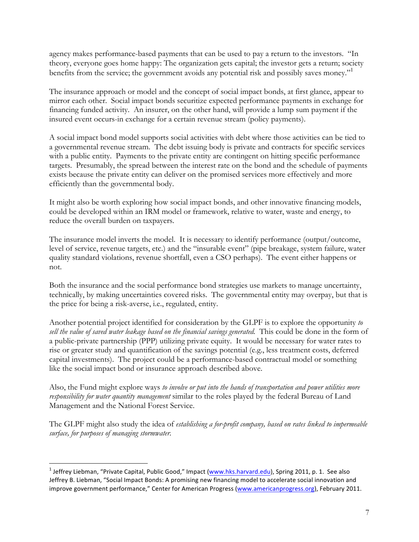agency makes performance-based payments that can be used to pay a return to the investors. "In theory, everyone goes home happy: The organization gets capital; the investor gets a return; society benefits from the service; the government avoids any potential risk and possibly saves money."

The insurance approach or model and the concept of social impact bonds, at first glance, appear to mirror each other. Social impact bonds securitize expected performance payments in exchange for financing funded activity. An insurer, on the other hand, will provide a lump sum payment if the insured event occurs-in exchange for a certain revenue stream (policy payments).

A social impact bond model supports social activities with debt where those activities can be tied to a governmental revenue stream. The debt issuing body is private and contracts for specific services with a public entity. Payments to the private entity are contingent on hitting specific performance targets. Presumably, the spread between the interest rate on the bond and the schedule of payments exists because the private entity can deliver on the promised services more effectively and more efficiently than the governmental body.

It might also be worth exploring how social impact bonds, and other innovative financing models, could be developed within an IRM model or framework, relative to water, waste and energy, to reduce the overall burden on taxpayers.

The insurance model inverts the model. It is necessary to identify performance (output/outcome, level of service, revenue targets, etc.) and the "insurable event" (pipe breakage, system failure, water quality standard violations, revenue shortfall, even a CSO perhaps). The event either happens or not.

Both the insurance and the social performance bond strategies use markets to manage uncertainty, technically, by making uncertainties covered risks. The governmental entity may overpay, but that is the price for being a risk-averse, i.e., regulated, entity.

Another potential project identified for consideration by the GLPF is to explore the opportunity *to sell the value of saved water leakage based on the financial savings generated.* This could be done in the form of a public-private partnership (PPP) utilizing private equity. It would be necessary for water rates to rise or greater study and quantification of the savings potential (e.g., less treatment costs, deferred capital investments). The project could be a performance-based contractual model or something like the social impact bond or insurance approach described above.

Also, the Fund might explore ways *to involve or put into the hands of transportation and power utilities more responsibility for water quantity management* similar to the roles played by the federal Bureau of Land Management and the National Forest Service.

The GLPF might also study the idea of *establishing a for-profit company, based on rates linked to impermeable surface, for purposes of managing stormwater.*

<sup>&</sup>lt;sup>1</sup> Jeffrey Liebman, "Private Capital, Public Good," Impact (www.hks.harvard.edu), Spring 2011, p. 1. See also Jeffrey B. Liebman, "Social Impact Bonds: A promising new financing model to accelerate social innovation and improve government performance," Center for American Progress (www.americanprogress.org), February 2011.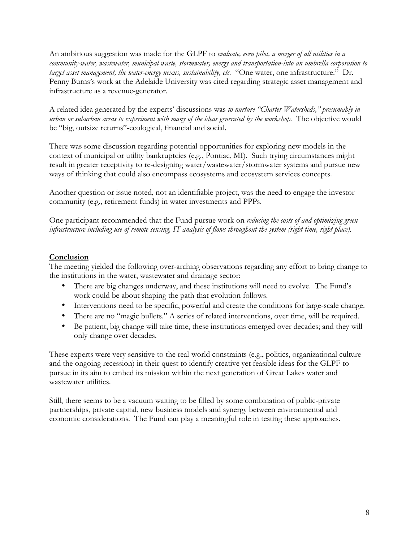An ambitious suggestion was made for the GLPF to *evaluate, even pilot, a merger of all utilities in a community-water, wastewater, municipal waste, stormwater, energy and transportation-into an umbrella corporation to target asset management, the water-energy nexus, sustainability, etc.* "One water, one infrastructure." Dr. Penny Burns's work at the Adelaide University was cited regarding strategic asset management and infrastructure as a revenue-generator.

A related idea generated by the experts' discussions was *to nurture "Charter Watersheds," presumably in urban or suburban areas to experiment with many of the ideas generated by the workshop.* The objective would be "big, outsize returns"-ecological, financial and social.

There was some discussion regarding potential opportunities for exploring new models in the context of municipal or utility bankruptcies (e.g., Pontiac, MI). Such trying circumstances might result in greater receptivity to re-designing water/wastewater/stormwater systems and pursue new ways of thinking that could also encompass ecosystems and ecosystem services concepts.

Another question or issue noted, not an identifiable project, was the need to engage the investor community (e.g., retirement funds) in water investments and PPPs.

One participant recommended that the Fund pursue work on *reducing the costs of and optimizing green infrastructure including use of remote sensing, IT analysis of flows throughout the system (right time, right place).*

# **Conclusion**

The meeting yielded the following over-arching observations regarding any effort to bring change to the institutions in the water, wastewater and drainage sector:

- There are big changes underway, and these institutions will need to evolve. The Fund's work could be about shaping the path that evolution follows.
- Interventions need to be specific, powerful and create the conditions for large-scale change.
- There are no "magic bullets." A series of related interventions, over time, will be required.
- Be patient, big change will take time, these institutions emerged over decades; and they will only change over decades.

These experts were very sensitive to the real-world constraints (e.g., politics, organizational culture and the ongoing recession) in their quest to identify creative yet feasible ideas for the GLPF to pursue in its aim to embed its mission within the next generation of Great Lakes water and wastewater utilities.

Still, there seems to be a vacuum waiting to be filled by some combination of public-private partnerships, private capital, new business models and synergy between environmental and economic considerations. The Fund can play a meaningful role in testing these approaches.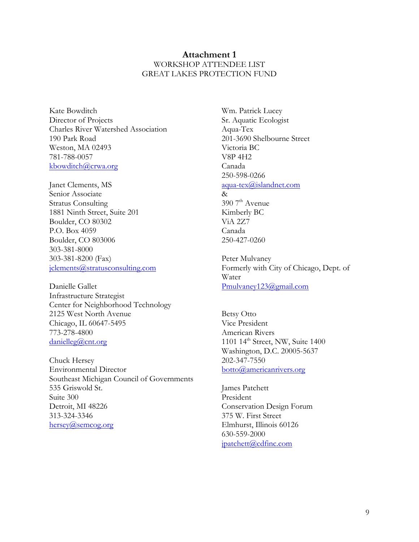# **Attachment 1** WORKSHOP ATTENDEE LIST GREAT LAKES PROTECTION FUND

Kate Bowditch Director of Projects Charles River Watershed Association 190 Park Road Weston, MA 02493 781-788-0057 kbowditch@crwa.org

Janet Clements, MS Senior Associate Stratus Consulting 1881 Ninth Street, Suite 201 Boulder, CO 80302 P.O. Box 4059 Boulder, CO 803006 303-381-8000 303-381-8200 (Fax) jclements@stratusconsulting.com

Danielle Gallet Infrastructure Strategist Center for Neighborhood Technology 2125 West North Avenue Chicago, IL 60647-5495 773-278-4800 danielleg@cnt.org

Chuck Hersey Environmental Director Southeast Michigan Council of Governments 535 Griswold St. Suite 300 Detroit, MI 48226 313-324-3346 hersey@semcog.org

Wm. Patrick Lucey Sr. Aquatic Ecologist Aqua-Tex 201-3690 Shelbourne Street Victoria BC V8P 4H2 Canada 250-598-0266 aqua-tex@islandnet.com &  $3907<sup>th</sup>$  Avenue Kimberly BC ViA 2Z7 Canada 250-427-0260

Peter Mulvaney Formerly with City of Chicago, Dept. of Water Pmulvaney123@gmail.com

Betsy Otto Vice President American Rivers 1101 14<sup>th</sup> Street, NW, Suite 1400 Washington, D.C. 20005-5637 202-347-7550 botto@americanrivers.org

James Patchett President Conservation Design Forum 375 W. First Street Elmhurst, Illinois 60126 630-559-2000 jpatchett@cdfinc.com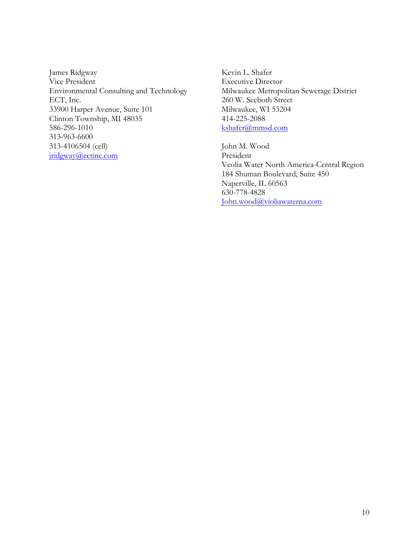James Ridgway Vice President Environmental Consulting and Technology ECT, Inc. 33900 Harper Avenue, Suite 101 Clinton Township, MI 48035 586-296-1010 313-963-6600 313-4106504 (cell) jridgway@ectinc.com

Kevin L. Shafer Executive Director Milwaukee Metropolitan Sewerage District 260 W. Seeboth Street Milwaukee, WI 53204 414-225-2088 kshafer@mmsd.com

John M. Wood President Veolia Water North America-Central Region 184 Shuman Boulevard, Suite 450 Naperville, IL 60563 630-778-4828 John.wood@violiawaterna.com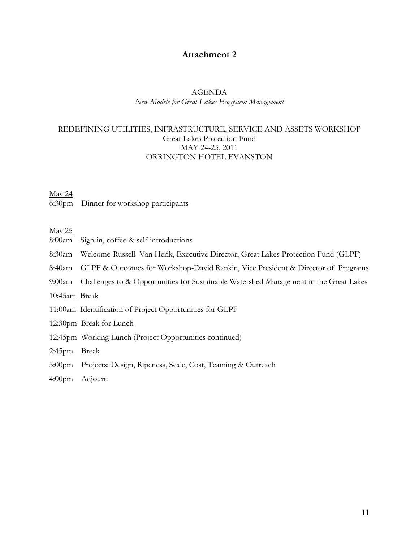# **Attachment 2**

# AGENDA

*New Models for Great Lakes Ecosystem Management*

# REDEFINING UTILITIES, INFRASTRUCTURE, SERVICE AND ASSETS WORKSHOP Great Lakes Protection Fund MAY 24-25, 2011 ORRINGTON HOTEL EVANSTON

#### May 24

6:30pm Dinner for workshop participants

May 25

- 8:00am Sign-in, coffee & self-introductions
- 8:30am Welcome-Russell Van Herik, Executive Director, Great Lakes Protection Fund (GLPF)
- 8:40am GLPF & Outcomes for Workshop-David Rankin, Vice President & Director of Programs
- 9:00am Challenges to & Opportunities for Sustainable Watershed Management in the Great Lakes
- 10:45am Break
- 11:00am Identification of Project Opportunities for GLPF
- 12:30pm Break for Lunch
- 12:45pm Working Lunch (Project Opportunities continued)
- 2:45pm Break
- 3:00pm Projects: Design, Ripeness, Scale, Cost, Teaming & Outreach
- 4:00pm Adjourn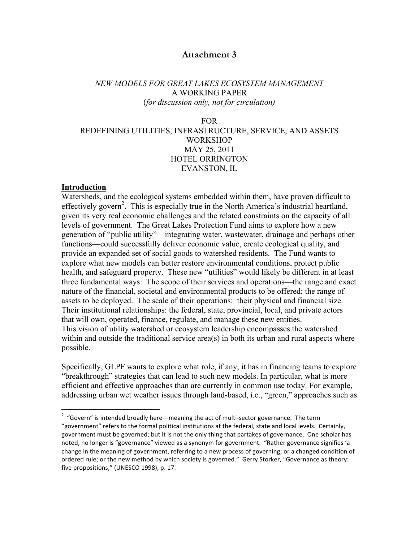# **Attachment 3**

# *NEW MODELS FOR GREAT LAKES ECOSYSTEM MANAGEMENT* A WORKING PAPER (*for discussion only, not for circulation)*

FOR

# REDEFINING UTILITIES, INFRASTRUCTURE, SERVICE, AND ASSETS WORKSHOP MAY 25, 2011 HOTEL ORRINGTON EVANSTON, IL

#### **Introduction**

Watersheds, and the ecological systems embedded within them, have proven difficult to effectively govern<sup>2</sup>. This is especially true in the North America's industrial heartland, given its very real economic challenges and the related constraints on the capacity of all levels of government. The Great Lakes Protection Fund aims to explore how a new generation of "public utility"—integrating water, wastewater, drainage and perhaps other functions—could successfully deliver economic value, create ecological quality, and provide an expanded set of social goods to watershed residents. The Fund wants to explore what new models can better restore environmental conditions, protect public health, and safeguard property. These new "utilities" would likely be different in at least three fundamental ways: The scope of their services and operations—the range and exact nature of the financial, societal and environmental products to be offered; the range of assets to be deployed. The scale of their operations: their physical and financial size. Their institutional relationships: the federal, state, provincial, local, and private actors that will own, operated, finance, regulate, and manage these new entities. This vision of utility watershed or ecosystem leadership encompasses the watershed within and outside the traditional service area(s) in both its urban and rural aspects where possible.

Specifically, GLPF wants to explore what role, if any, it has in financing teams to explore "breakthrough" strategies that can lead to such new models. In particular, what is more efficient and effective approaches than are currently in common use today. For example, addressing urban wet weather issues through land-based, i.e., "green," approaches such as

 $\overline{2}$  $2$  "Govern" is intended broadly here—meaning the act of multi-sector governance. The term "government" refers to the formal political institutions at the federal, state and local levels. Certainly, government must be governed; but it is not the only thing that partakes of governance. One scholar has noted, no longer is "governance" viewed as a synonym for government. "Rather governance signifies 'a change in the meaning of government, referring to a new process of governing; or a changed condition of ordered rule; or the new method by which society is governed." Gerry Storker, "Governance as theory: five propositions," (UNESCO 1998), p. 17.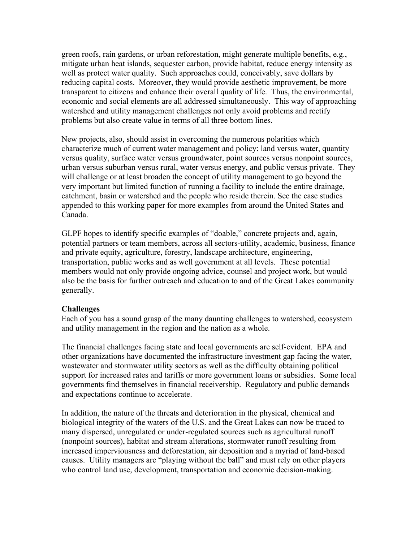green roofs, rain gardens, or urban reforestation, might generate multiple benefits, e.g., mitigate urban heat islands, sequester carbon, provide habitat, reduce energy intensity as well as protect water quality. Such approaches could, conceivably, save dollars by reducing capital costs. Moreover, they would provide aesthetic improvement, be more transparent to citizens and enhance their overall quality of life. Thus, the environmental, economic and social elements are all addressed simultaneously. This way of approaching watershed and utility management challenges not only avoid problems and rectify problems but also create value in terms of all three bottom lines.

New projects, also, should assist in overcoming the numerous polarities which characterize much of current water management and policy: land versus water, quantity versus quality, surface water versus groundwater, point sources versus nonpoint sources, urban versus suburban versus rural, water versus energy, and public versus private. They will challenge or at least broaden the concept of utility management to go beyond the very important but limited function of running a facility to include the entire drainage, catchment, basin or watershed and the people who reside therein. See the case studies appended to this working paper for more examples from around the United States and Canada.

GLPF hopes to identify specific examples of "doable," concrete projects and, again, potential partners or team members, across all sectors-utility, academic, business, finance and private equity, agriculture, forestry, landscape architecture, engineering, transportation, public works and as well government at all levels. These potential members would not only provide ongoing advice, counsel and project work, but would also be the basis for further outreach and education to and of the Great Lakes community generally.

#### **Challenges**

Each of you has a sound grasp of the many daunting challenges to watershed, ecosystem and utility management in the region and the nation as a whole.

The financial challenges facing state and local governments are self-evident. EPA and other organizations have documented the infrastructure investment gap facing the water, wastewater and stormwater utility sectors as well as the difficulty obtaining political support for increased rates and tariffs or more government loans or subsidies. Some local governments find themselves in financial receivership. Regulatory and public demands and expectations continue to accelerate.

In addition, the nature of the threats and deterioration in the physical, chemical and biological integrity of the waters of the U.S. and the Great Lakes can now be traced to many dispersed, unregulated or under-regulated sources such as agricultural runoff (nonpoint sources), habitat and stream alterations, stormwater runoff resulting from increased imperviousness and deforestation, air deposition and a myriad of land-based causes. Utility managers are "playing without the ball" and must rely on other players who control land use, development, transportation and economic decision-making.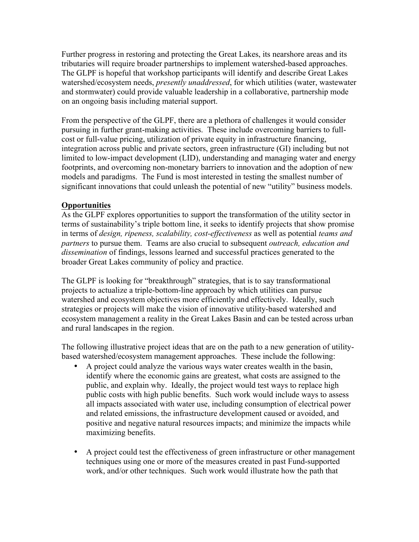Further progress in restoring and protecting the Great Lakes, its nearshore areas and its tributaries will require broader partnerships to implement watershed-based approaches. The GLPF is hopeful that workshop participants will identify and describe Great Lakes watershed/ecosystem needs, *presently unaddressed*, for which utilities (water, wastewater and stormwater) could provide valuable leadership in a collaborative, partnership mode on an ongoing basis including material support.

From the perspective of the GLPF, there are a plethora of challenges it would consider pursuing in further grant-making activities. These include overcoming barriers to fullcost or full-value pricing, utilization of private equity in infrastructure financing, integration across public and private sectors, green infrastructure (GI) including but not limited to low-impact development (LID), understanding and managing water and energy footprints, and overcoming non-monetary barriers to innovation and the adoption of new models and paradigms. The Fund is most interested in testing the smallest number of significant innovations that could unleash the potential of new "utility" business models.

# **Opportunities**

As the GLPF explores opportunities to support the transformation of the utility sector in terms of sustainability's triple bottom line, it seeks to identify projects that show promise in terms of *design, ripeness, scalability, cost-effectiveness* as well as potential *teams and partners* to pursue them. Teams are also crucial to subsequent *outreach, education and dissemination* of findings, lessons learned and successful practices generated to the broader Great Lakes community of policy and practice.

The GLPF is looking for "breakthrough" strategies, that is to say transformational projects to actualize a triple-bottom-line approach by which utilities can pursue watershed and ecosystem objectives more efficiently and effectively. Ideally, such strategies or projects will make the vision of innovative utility-based watershed and ecosystem management a reality in the Great Lakes Basin and can be tested across urban and rural landscapes in the region.

The following illustrative project ideas that are on the path to a new generation of utilitybased watershed/ecosystem management approaches. These include the following:

- A project could analyze the various ways water creates wealth in the basin, identify where the economic gains are greatest, what costs are assigned to the public, and explain why. Ideally, the project would test ways to replace high public costs with high public benefits. Such work would include ways to assess all impacts associated with water use, including consumption of electrical power and related emissions, the infrastructure development caused or avoided, and positive and negative natural resources impacts; and minimize the impacts while maximizing benefits.
- A project could test the effectiveness of green infrastructure or other management techniques using one or more of the measures created in past Fund-supported work, and/or other techniques. Such work would illustrate how the path that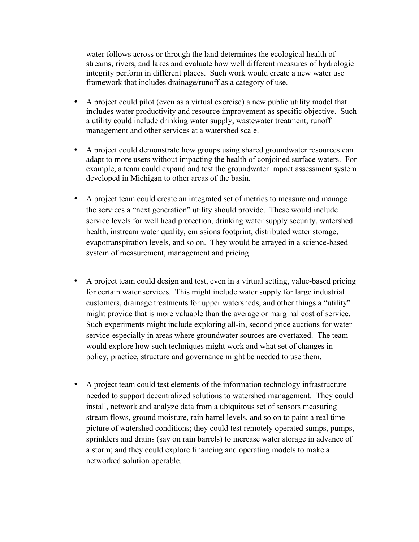water follows across or through the land determines the ecological health of streams, rivers, and lakes and evaluate how well different measures of hydrologic integrity perform in different places. Such work would create a new water use framework that includes drainage/runoff as a category of use.

- A project could pilot (even as a virtual exercise) a new public utility model that includes water productivity and resource improvement as specific objective. Such a utility could include drinking water supply, wastewater treatment, runoff management and other services at a watershed scale.
- A project could demonstrate how groups using shared groundwater resources can adapt to more users without impacting the health of conjoined surface waters. For example, a team could expand and test the groundwater impact assessment system developed in Michigan to other areas of the basin.
- A project team could create an integrated set of metrics to measure and manage the services a "next generation" utility should provide. These would include service levels for well head protection, drinking water supply security, watershed health, instream water quality, emissions footprint, distributed water storage, evapotranspiration levels, and so on. They would be arrayed in a science-based system of measurement, management and pricing.
- A project team could design and test, even in a virtual setting, value-based pricing for certain water services. This might include water supply for large industrial customers, drainage treatments for upper watersheds, and other things a "utility" might provide that is more valuable than the average or marginal cost of service. Such experiments might include exploring all-in, second price auctions for water service-especially in areas where groundwater sources are overtaxed. The team would explore how such techniques might work and what set of changes in policy, practice, structure and governance might be needed to use them.
- A project team could test elements of the information technology infrastructure needed to support decentralized solutions to watershed management. They could install, network and analyze data from a ubiquitous set of sensors measuring stream flows, ground moisture, rain barrel levels, and so on to paint a real time picture of watershed conditions; they could test remotely operated sumps, pumps, sprinklers and drains (say on rain barrels) to increase water storage in advance of a storm; and they could explore financing and operating models to make a networked solution operable.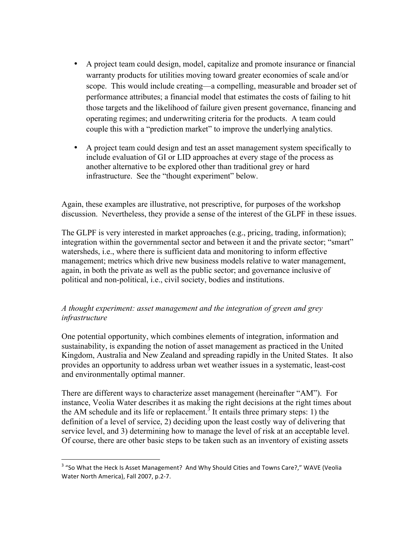- A project team could design, model, capitalize and promote insurance or financial warranty products for utilities moving toward greater economies of scale and/or scope. This would include creating—a compelling, measurable and broader set of performance attributes; a financial model that estimates the costs of failing to hit those targets and the likelihood of failure given present governance, financing and operating regimes; and underwriting criteria for the products. A team could couple this with a "prediction market" to improve the underlying analytics.
- A project team could design and test an asset management system specifically to include evaluation of GI or LID approaches at every stage of the process as another alternative to be explored other than traditional grey or hard infrastructure. See the "thought experiment" below.

Again, these examples are illustrative, not prescriptive, for purposes of the workshop discussion. Nevertheless, they provide a sense of the interest of the GLPF in these issues.

The GLPF is very interested in market approaches (e.g., pricing, trading, information); integration within the governmental sector and between it and the private sector; "smart" watersheds, i.e., where there is sufficient data and monitoring to inform effective management; metrics which drive new business models relative to water management, again, in both the private as well as the public sector; and governance inclusive of political and non-political, i.e., civil society, bodies and institutions.

# *A thought experiment: asset management and the integration of green and grey infrastructure*

One potential opportunity, which combines elements of integration, information and sustainability, is expanding the notion of asset management as practiced in the United Kingdom, Australia and New Zealand and spreading rapidly in the United States. It also provides an opportunity to address urban wet weather issues in a systematic, least-cost and environmentally optimal manner.

There are different ways to characterize asset management (hereinafter "AM"). For instance, Veolia Water describes it as making the right decisions at the right times about the AM schedule and its life or replacement.<sup>3</sup> It entails three primary steps: 1) the definition of a level of service, 2) deciding upon the least costly way of delivering that service level, and 3) determining how to manage the level of risk at an acceptable level. Of course, there are other basic steps to be taken such as an inventory of existing assets

 $3$  "So What the Heck Is Asset Management? And Why Should Cities and Towns Care?," WAVE (Veolia Water North America), Fall 2007, p.2-7.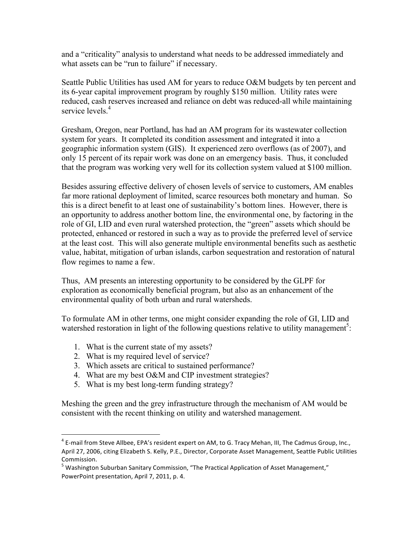and a "criticality" analysis to understand what needs to be addressed immediately and what assets can be "run to failure" if necessary.

Seattle Public Utilities has used AM for years to reduce O&M budgets by ten percent and its 6-year capital improvement program by roughly \$150 million. Utility rates were reduced, cash reserves increased and reliance on debt was reduced-all while maintaining service levels<sup>4</sup>

Gresham, Oregon, near Portland, has had an AM program for its wastewater collection system for years. It completed its condition assessment and integrated it into a geographic information system (GIS). It experienced zero overflows (as of 2007), and only 15 percent of its repair work was done on an emergency basis. Thus, it concluded that the program was working very well for its collection system valued at \$100 million.

Besides assuring effective delivery of chosen levels of service to customers, AM enables far more rational deployment of limited, scarce resources both monetary and human. So this is a direct benefit to at least one of sustainability's bottom lines. However, there is an opportunity to address another bottom line, the environmental one, by factoring in the role of GI, LID and even rural watershed protection, the "green" assets which should be protected, enhanced or restored in such a way as to provide the preferred level of service at the least cost. This will also generate multiple environmental benefits such as aesthetic value, habitat, mitigation of urban islands, carbon sequestration and restoration of natural flow regimes to name a few.

Thus, AM presents an interesting opportunity to be considered by the GLPF for exploration as economically beneficial program, but also as an enhancement of the environmental quality of both urban and rural watersheds.

To formulate AM in other terms, one might consider expanding the role of GI, LID and watershed restoration in light of the following questions relative to utility management<sup>5</sup>:

- 1. What is the current state of my assets?
- 2. What is my required level of service?
- 3. Which assets are critical to sustained performance?
- 4. What are my best O&M and CIP investment strategies?
- 5. What is my best long-term funding strategy?

Meshing the green and the grey infrastructure through the mechanism of AM would be consistent with the recent thinking on utility and watershed management.

 $4$  E-mail from Steve Allbee, EPA's resident expert on AM, to G. Tracy Mehan, III, The Cadmus Group, Inc., April 27, 2006, citing Elizabeth S. Kelly, P.E., Director, Corporate Asset Management, Seattle Public Utilities Commission. 

 $<sup>5</sup>$  Washington Suburban Sanitary Commission, "The Practical Application of Asset Management,"</sup> PowerPoint presentation, April 7, 2011, p. 4.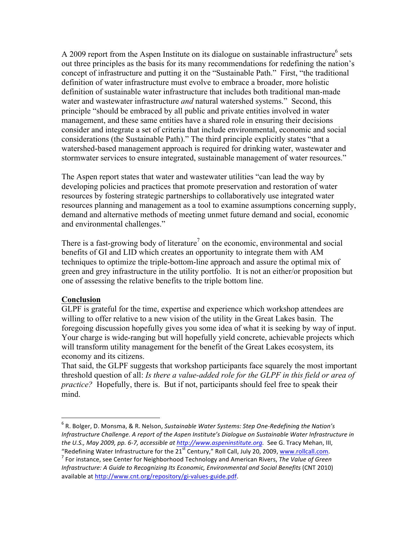A 2009 report from the Aspen Institute on its dialogue on sustainable infrastructure<sup>6</sup> sets out three principles as the basis for its many recommendations for redefining the nation's concept of infrastructure and putting it on the "Sustainable Path." First, "the traditional definition of water infrastructure must evolve to embrace a broader, more holistic definition of sustainable water infrastructure that includes both traditional man-made water and wastewater infrastructure *and* natural watershed systems." Second, this principle "should be embraced by all public and private entities involved in water management, and these same entities have a shared role in ensuring their decisions consider and integrate a set of criteria that include environmental, economic and social considerations (the Sustainable Path)." The third principle explicitly states "that a watershed-based management approach is required for drinking water, wastewater and stormwater services to ensure integrated, sustainable management of water resources."

The Aspen report states that water and wastewater utilities "can lead the way by developing policies and practices that promote preservation and restoration of water resources by fostering strategic partnerships to collaboratively use integrated water resources planning and management as a tool to examine assumptions concerning supply, demand and alternative methods of meeting unmet future demand and social, economic and environmental challenges."

There is a fast-growing body of literature<sup>7</sup> on the economic, environmental and social benefits of GI and LID which creates an opportunity to integrate them with AM techniques to optimize the triple-bottom-line approach and assure the optimal mix of green and grey infrastructure in the utility portfolio. It is not an either/or proposition but one of assessing the relative benefits to the triple bottom line.

#### **Conclusion**

GLPF is grateful for the time, expertise and experience which workshop attendees are willing to offer relative to a new vision of the utility in the Great Lakes basin. The foregoing discussion hopefully gives you some idea of what it is seeking by way of input. Your charge is wide-ranging but will hopefully yield concrete, achievable projects which will transform utility management for the benefit of the Great Lakes ecosystem, its economy and its citizens.

That said, the GLPF suggests that workshop participants face squarely the most important threshold question of all: *Is there a value-added role for the GLPF in this field or area of practice?* Hopefully, there is. But if not, participants should feel free to speak their mind.

<sup>&</sup>lt;sup>6</sup> R. Bolger, D. Monsma, & R. Nelson, *Sustainable Water Systems: Step One-Redefining the Nation's Infrastructure Challenge. A report of the Aspen Institute's Dialogue on Sustainable Water Infrastructure in the U.S., May 2009, pp. 6-7, accessible at http://www.aspeninstitute.org.* See G. Tracy Mehan, III, "Redefining Water Infrastructure for the 21<sup>st</sup> Century," Roll Call, July 20, 2009, www.rollcall.com.

<sup>&</sup>lt;sup>7</sup> For instance, see Center for Neighborhood Technology and American Rivers, The Value of Green *Infrastructure: A Guide to Recognizing Its Economic, Environmental and Social Benefits* (CNT 2010) available at http://www.cnt.org/repository/gi-values-guide.pdf.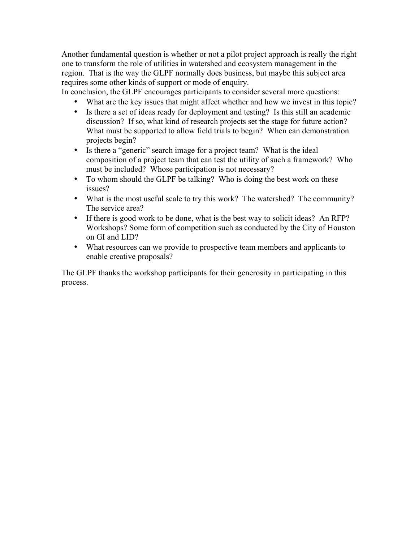Another fundamental question is whether or not a pilot project approach is really the right one to transform the role of utilities in watershed and ecosystem management in the region. That is the way the GLPF normally does business, but maybe this subject area requires some other kinds of support or mode of enquiry.

In conclusion, the GLPF encourages participants to consider several more questions:

- What are the key issues that might affect whether and how we invest in this topic?
- Is there a set of ideas ready for deployment and testing? Is this still an academic discussion? If so, what kind of research projects set the stage for future action? What must be supported to allow field trials to begin? When can demonstration projects begin?
- Is there a "generic" search image for a project team? What is the ideal composition of a project team that can test the utility of such a framework? Who must be included? Whose participation is not necessary?
- To whom should the GLPF be talking? Who is doing the best work on these issues?
- What is the most useful scale to try this work? The watershed? The community? The service area?
- If there is good work to be done, what is the best way to solicit ideas? An RFP? Workshops? Some form of competition such as conducted by the City of Houston on GI and LID?
- What resources can we provide to prospective team members and applicants to enable creative proposals?

The GLPF thanks the workshop participants for their generosity in participating in this process.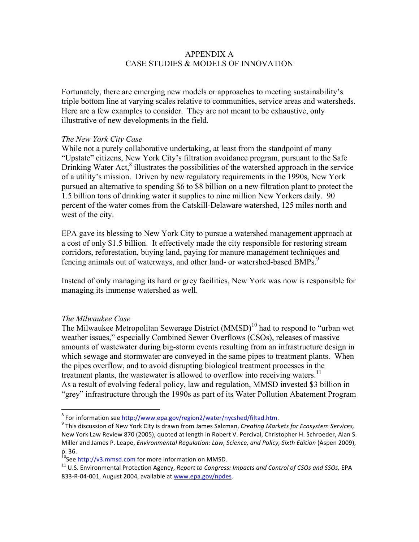## APPENDIX A CASE STUDIES & MODELS OF INNOVATION

Fortunately, there are emerging new models or approaches to meeting sustainability's triple bottom line at varying scales relative to communities, service areas and watersheds. Here are a few examples to consider. They are not meant to be exhaustive, only illustrative of new developments in the field.

#### *The New York City Case*

While not a purely collaborative undertaking, at least from the standpoint of many "Upstate" citizens, New York City's filtration avoidance program, pursuant to the Safe Drinking Water Act, $^8$  illustrates the possibilities of the watershed approach in the service of a utility's mission. Driven by new regulatory requirements in the 1990s, New York pursued an alternative to spending \$6 to \$8 billion on a new filtration plant to protect the 1.5 billion tons of drinking water it supplies to nine million New Yorkers daily. 90 percent of the water comes from the Catskill-Delaware watershed, 125 miles north and west of the city.

EPA gave its blessing to New York City to pursue a watershed management approach at a cost of only \$1.5 billion. It effectively made the city responsible for restoring stream corridors, reforestation, buying land, paying for manure management techniques and fencing animals out of waterways, and other land- or watershed-based BMPs.<sup>9</sup>

Instead of only managing its hard or grey facilities, New York was now is responsible for managing its immense watershed as well.

#### *The Milwaukee Case*

The Milwaukee Metropolitan Sewerage District  $(MMSD)^{10}$  had to respond to "urban wet" weather issues," especially Combined Sewer Overflows (CSOs), releases of massive amounts of wastewater during big-storm events resulting from an infrastructure design in which sewage and stormwater are conveyed in the same pipes to treatment plants. When the pipes overflow, and to avoid disrupting biological treatment processes in the treatment plants, the wastewater is allowed to overflow into receiving waters.<sup>11</sup> As a result of evolving federal policy, law and regulation, MMSD invested \$3 billion in "grey" infrastructure through the 1990s as part of its Water Pollution Abatement Program

<sup>&</sup>lt;sup>8</sup> For information see http://www.epa.gov/region2/water/nycshed/filtad.htm.<br><sup>9</sup> This discussion of New York City is drawn from James Salzman, *Creating Markets for Ecosystem Services,* New York Law Review 870 (2005), quoted at length in Robert V. Percival, Christopher H. Schroeder, Alan S. Miller and James P. Leape, *Environmental Regulation: Law, Science, and Policy, Sixth Edition* (Aspen 2009), p. 36.

<sup>&</sup>lt;sup>10</sup>See <u>http://v3.mmsd.com</u> for more information on MMSD.<br><sup>11</sup> U.S. Environmental Protection Agency, *Report to Congress: Impacts and Control of CSOs and SSOs,* EPA 833-R-04-001, August 2004, available at www.epa.gov/npdes.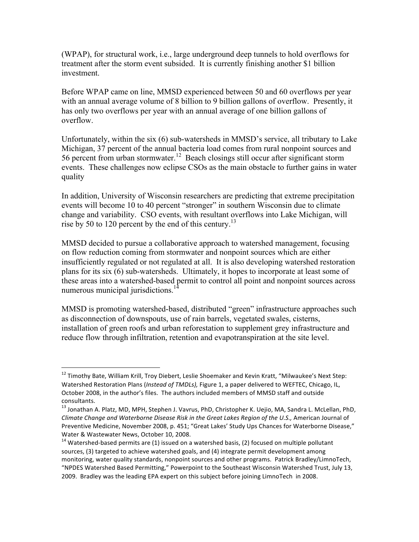(WPAP), for structural work, i.e., large underground deep tunnels to hold overflows for treatment after the storm event subsided. It is currently finishing another \$1 billion investment.

Before WPAP came on line, MMSD experienced between 50 and 60 overflows per year with an annual average volume of 8 billion to 9 billion gallons of overflow. Presently, it has only two overflows per year with an annual average of one billion gallons of overflow.

Unfortunately, within the six (6) sub-watersheds in MMSD's service, all tributary to Lake Michigan, 37 percent of the annual bacteria load comes from rural nonpoint sources and 56 percent from urban stormwater.12 Beach closings still occur after significant storm events. These challenges now eclipse CSOs as the main obstacle to further gains in water quality

In addition, University of Wisconsin researchers are predicting that extreme precipitation events will become 10 to 40 percent "stronger" in southern Wisconsin due to climate change and variability. CSO events, with resultant overflows into Lake Michigan, will rise by 50 to 120 percent by the end of this century.<sup>13</sup>

MMSD decided to pursue a collaborative approach to watershed management, focusing on flow reduction coming from stormwater and nonpoint sources which are either insufficiently regulated or not regulated at all. It is also developing watershed restoration plans for its six (6) sub-watersheds. Ultimately, it hopes to incorporate at least some of these areas into a watershed-based permit to control all point and nonpoint sources across numerous municipal jurisdictions.<sup>14</sup>

MMSD is promoting watershed-based, distributed "green" infrastructure approaches such as disconnection of downspouts, use of rain barrels, vegetated swales, cisterns, installation of green roofs and urban reforestation to supplement grey infrastructure and reduce flow through infiltration, retention and evapotranspiration at the site level.

<sup>&</sup>lt;sup>12</sup> Timothy Bate, William Krill, Troy Diebert, Leslie Shoemaker and Kevin Kratt, "Milwaukee's Next Step: Watershed Restoration Plans (Instead of TMDLs), Figure 1, a paper delivered to WEFTEC, Chicago, IL, October 2008, in the author's files. The authors included members of MMSD staff and outside consultants.

<sup>&</sup>lt;sup>13</sup> Jonathan A. Platz, MD, MPH, Stephen J. Vavrus, PhD, Christopher K. Uejio, MA, Sandra L. McLellan, PhD, *Climate Change and Waterborne Disease Risk in the Great Lakes Region of the U.S., American Journal of* Preventive Medicine, November 2008, p. 451; "Great Lakes' Study Ups Chances for Waterborne Disease," Water & Wastewater News, October 10, 2008.

 $14$  Watershed-based permits are (1) issued on a watershed basis, (2) focused on multiple pollutant sources, (3) targeted to achieve watershed goals, and (4) integrate permit development among monitoring, water quality standards, nonpoint sources and other programs. Patrick Bradley/LimnoTech, "NPDES Watershed Based Permitting," Powerpoint to the Southeast Wisconsin Watershed Trust, July 13, 2009. Bradley was the leading EPA expert on this subject before joining LimnoTech in 2008.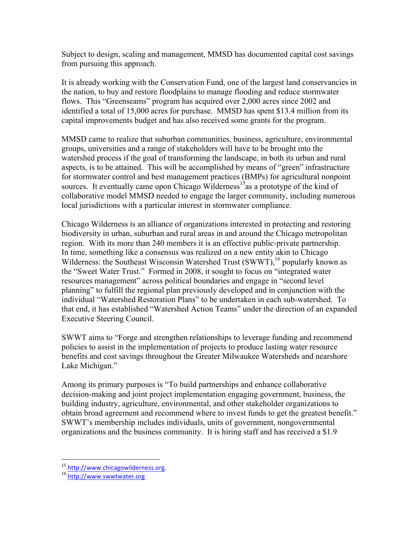Subject to design, scaling and management, MMSD has documented capital cost savings from pursuing this approach.

It is already working with the Conservation Fund, one of the largest land conservancies in the nation, to buy and restore floodplains to manage flooding and reduce stormwater flows. This "Greenseams" program has acquired over 2,000 acres since 2002 and identified a total of 15,000 acres for purchase. MMSD has spent \$13.4 million from its capital improvements budget and has also received some grants for the program.

MMSD came to realize that suburban communities, business, agriculture, environmental groups, universities and a range of stakeholders will have to be brought into the watershed process if the goal of transforming the landscape, in both its urban and rural aspects, is to be attained. This will be accomplished by means of "green" infrastructure for stormwater control and best management practices (BMPs) for agricultural nonpoint sources. It eventually came upon Chicago Wilderness<sup>15</sup>as a prototype of the kind of collaborative model MMSD needed to engage the larger community, including numerous local jurisdictions with a particular interest in stormwater compliance.

Chicago Wilderness is an alliance of organizations interested in protecting and restoring biodiversity in urban, suburban and rural areas in and around the Chicago metropolitan region. With its more than 240 members it is an effective public-private partnership. In time, something like a consensus was realized on a new entity akin to Chicago Wilderness: the Southeast Wisconsin Watershed Trust (SWWT),<sup>16</sup> popularly known as the "Sweet Water Trust." Formed in 2008, it sought to focus on "integrated water resources management" across political boundaries and engage in "second level planning" to fulfill the regional plan previously developed and in conjunction with the individual "Watershed Restoration Plans" to be undertaken in each sub-watershed. To that end, it has established "Watershed Action Teams" under the direction of an expanded Executive Steering Council.

SWWT aims to "Forge and strengthen relationships to leverage funding and recommend policies to assist in the implementation of projects to produce lasting water resource benefits and cost savings throughout the Greater Milwaukee Watersheds and nearshore Lake Michigan."

Among its primary purposes is "To build partnerships and enhance collaborative decision-making and joint project implementation engaging government, business, the building industry, agriculture, environmental, and other stakeholder organizations to obtain broad agreement and recommend where to invest funds to get the greatest benefit." SWWT's membership includes individuals, units of government, nongovernmental organizations and the business community. It is hiring staff and has received a \$1.9

<sup>&</sup>lt;sup>15</sup> http://www.chicagowilderness.org.<br><sup>16</sup> http://www.swwtwater.org